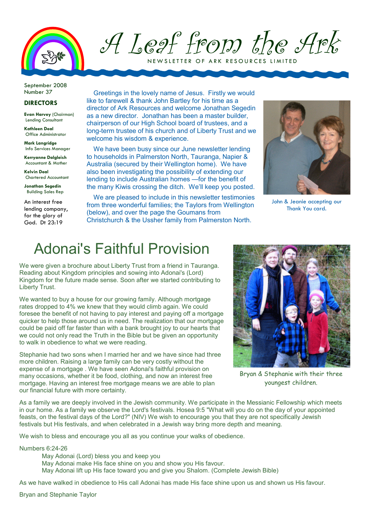

A Leaf from the Ark

NEW SLETTER OF ARK RESOURCES LIA

September 2008

## DIRECTORS

Evan Harvey (Chairman) Lending Consultant

Kathleen Deal Office Administrator

Mark Langridge Info Services Manager

Kerryanne Dalgleish Accountant & Mother

Kelvin Deal Chartered Accountant

Jonathan Segedin Building Sales Rep

An interest free lending company, for the alory of God. Dt 23:19

Number 37 Greetings in the lovely name of Jesus. Firstly we would like to farewell & thank John Bartley for his time as a director of Ark Resources and welcome Jonathan Segedin as a new director. Jonathan has been a master builder, chairperson of our High School board of trustees, and a long-term trustee of his church and of Liberty Trust and we welcome his wisdom & experience.

> We have been busy since our June newsletter lending to households in Palmerston North, Tauranga, Napier & Australia (secured by their Wellington home). We have also been investigating the possibility of extending our lending to include Australian homes —for the benefit of the many Kiwis crossing the ditch. We'll keep you posted.

> We are pleased to include in this newsletter testimonies from three wonderful families; the Taylors from Wellington (below), and over the page the Goumans from Christchurch & the Ussher family from Palmerston North.



John & Jeanie accepting our Thank You card.

## Adonai's Faithful Provision

We were given a brochure about Liberty Trust from a friend in Tauranga. Reading about Kingdom principles and sowing into Adonai's (Lord) Kingdom for the future made sense. Soon after we started contributing to Liberty Trust.

We wanted to buy a house for our growing family. Although mortgage rates dropped to 4% we knew that they would climb again. We could foresee the benefit of not having to pay interest and paying off a mortgage quicker to help those around us in need. The realization that our mortgage could be paid off far faster than with a bank brought joy to our hearts that we could not only read the Truth in the Bible but be given an opportunity to walk in obedience to what we were reading.

Stephanie had two sons when I married her and we have since had three more children. Raising a large family can be very costly without the expense of a mortgage . We have seen Adonai's faithful provision on many occasions, whether it be food, clothing, and now an interest free mortgage. Having an interest free mortgage means we are able to plan our financial future with more certainty.



Bryan & Stephanie with their three youngest children.

As a family we are deeply involved in the Jewish community. We participate in the Messianic Fellowship which meets in our home. As a family we observe the Lord's festivals. Hosea 9:5 "What will you do on the day of your appointed feasts, on the festival days of the Lord?" (NIV) We wish to encourage you that they are not specifically Jewish festivals but His festivals, and when celebrated in a Jewish way bring more depth and meaning.

We wish to bless and encourage you all as you continue your walks of obedience.

Numbers 6:24-26

May Adonai (Lord) bless you and keep you

May Adonai make His face shine on you and show you His favour.

May Adonai lift up His face toward you and give you Shalom. (Complete Jewish Bible)

As we have walked in obedience to His call Adonai has made His face shine upon us and shown us His favour.

Bryan and Stephanie Taylor